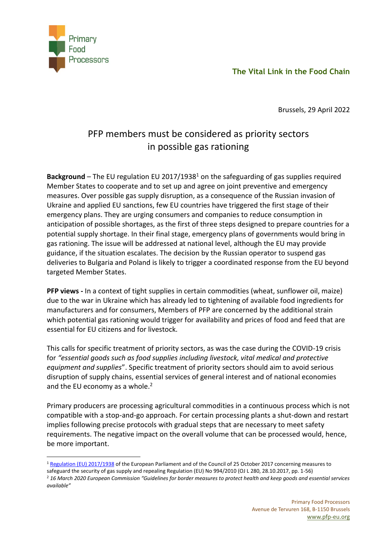**The Vital Link in the Food Chain**



Brussels, 29 April 2022

## PFP members must be considered as priority sectors in possible gas rationing

**Background** – The EU regulation EU 2017/1938<sup>1</sup> on the safeguarding of gas supplies required Member States to cooperate and to set up and agree on joint preventive and emergency measures. Over possible gas supply disruption, as a consequence of the Russian invasion of Ukraine and applied EU sanctions, few EU countries have triggered the first stage of their emergency plans. They are urging consumers and companies to reduce consumption in anticipation of possible shortages, as the first of three steps designed to prepare countries for a potential supply shortage. In their final stage, emergency plans of governments would bring in gas rationing. The issue will be addressed at national level, although the EU may provide guidance, if the situation escalates. The decision by the Russian operator to suspend gas deliveries to Bulgaria and Poland is likely to trigger a coordinated response from the EU beyond targeted Member States.

**PFP views -** In a context of tight supplies in certain commodities (wheat, sunflower oil, maize) due to the war in Ukraine which has already led to tightening of available food ingredients for manufacturers and for consumers, Members of PFP are concerned by the additional strain which potential gas rationing would trigger for availability and prices of food and feed that are essential for EU citizens and for livestock.

This calls for specific treatment of priority sectors, as was the case during the COVID-19 crisis for *"essential goods such as food supplies including livestock, vital medical and protective equipment and supplies*". Specific treatment of priority sectors should aim to avoid serious disruption of supply chains, essential services of general interest and of national economies and the EU economy as a whole.<sup>2</sup>

Primary producers are processing agricultural commodities in a continuous process which is not compatible with a stop-and-go approach. For certain processing plants a shut-down and restart implies following precise protocols with gradual steps that are necessary to meet safety requirements. The negative impact on the overall volume that can be processed would, hence, be more important.

<sup>1</sup> [Regulation \(EU\) 2017/1938](https://eur-lex.europa.eu/legal-content/EN/AUTO/?uri=celex:32017R1938) of the European Parliament and of the Council of 25 October 2017 concerning measures to safeguard the security of gas supply and repealing Regulation (EU) No 994/2010 (OJ L 280, 28.10.2017, pp. 1-56)

<sup>2</sup> *16 March 2020 European Commission "Guidelines for border measures to protect health and keep goods and essential services available"*